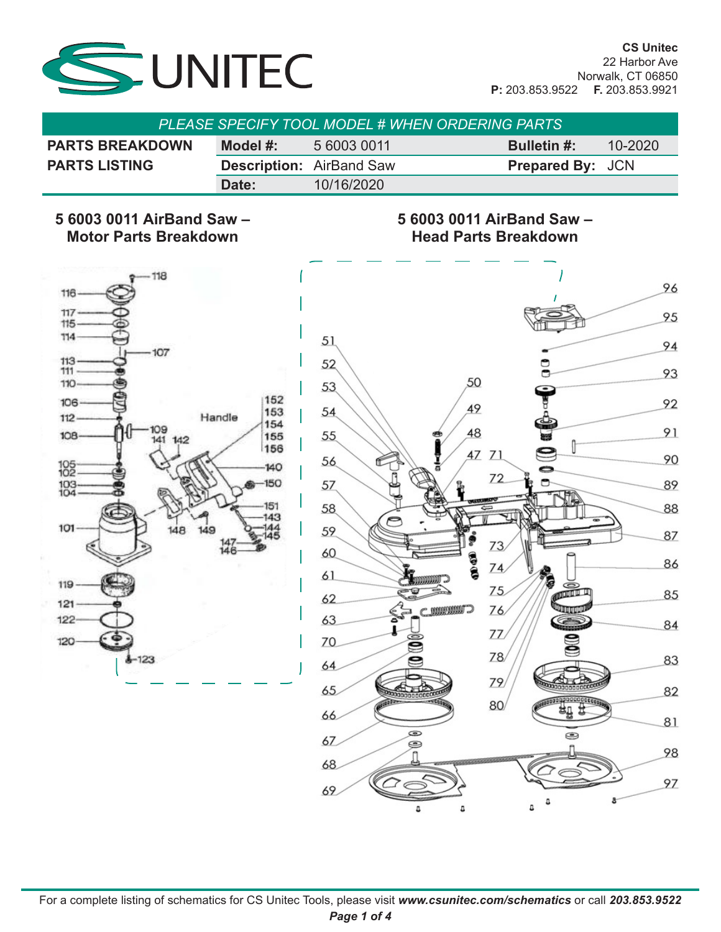

| <b>PLEASE SPECIFY TOOL MODEL # WHEN ORDERING PARTS</b> |          |                                 |                         |             |  |
|--------------------------------------------------------|----------|---------------------------------|-------------------------|-------------|--|
| <b>PARTS BREAKDOWN</b>                                 | Model #: | 5 6003 0011                     | <b>Bulletin #:</b>      | $10 - 2020$ |  |
| <b>PARTS LISTING</b>                                   |          | <b>Description: AirBand Saw</b> | <b>Prepared By: JCN</b> |             |  |
|                                                        | Date:    | 10/16/2020                      |                         |             |  |

#### **5 6003 0011 AirBand Saw – Motor Parts Breakdown**

#### **5 6003 0011 AirBand Saw – Head Parts Breakdown**



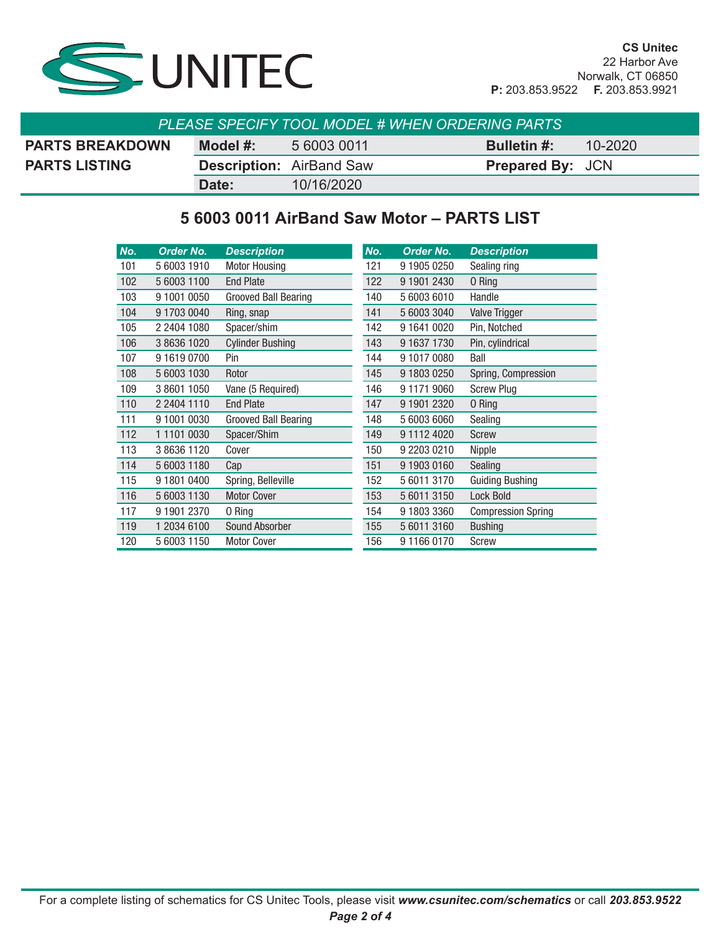

| <b>PLEASE SPECIFY TOOL MODEL # WHEN ORDERING PARTS</b> |                                 |             |                         |             |  |  |
|--------------------------------------------------------|---------------------------------|-------------|-------------------------|-------------|--|--|
| <b>PARTS BREAKDOWN</b>                                 | Model #:                        | 5 6003 0011 | <b>Bulletin #:</b>      | $10 - 2020$ |  |  |
| <b>PARTS LISTING</b>                                   | <b>Description: AirBand Saw</b> |             | <b>Prepared By: JCN</b> |             |  |  |
|                                                        | Date:                           | 10/16/2020  |                         |             |  |  |

### **5 6003 0011 AirBand Saw Motor – PARTS LIST**

| No. | <b>Order No.</b> | <b>Description</b>          | No. | <b>Order No.</b> | <b>Description</b>        |
|-----|------------------|-----------------------------|-----|------------------|---------------------------|
| 101 | 5 6003 1910      | <b>Motor Housing</b>        | 121 | 9 1905 0250      | Sealing ring              |
| 102 | 5 6003 1100      | <b>End Plate</b>            | 122 | 9 1901 2430      | 0 Ring                    |
| 103 | 9 1001 0050      | <b>Grooved Ball Bearing</b> | 140 | 5 6003 6010      | Handle                    |
| 104 | 9 1703 0040      | Ring, snap                  | 141 | 5 6003 3040      | <b>Valve Trigger</b>      |
| 105 | 2 2404 1080      | Spacer/shim                 | 142 | 9 1641 0020      | Pin, Notched              |
| 106 | 3 8636 1020      | <b>Cylinder Bushing</b>     | 143 | 9 1637 1730      | Pin, cylindrical          |
| 107 | 916190700        | Pin                         | 144 | 9 1017 0080      | Ball                      |
| 108 | 5 6003 1030      | Rotor                       | 145 | 9 1803 0250      | Spring, Compression       |
| 109 | 3 8601 1050      | Vane (5 Required)           | 146 | 9 1171 9060      | <b>Screw Plug</b>         |
| 110 | 2 2404 1110      | <b>End Plate</b>            | 147 | 9 1901 2320      | 0 Ring                    |
| 111 | 9 1001 0030      | <b>Grooved Ball Bearing</b> | 148 | 5 6003 6060      | Sealing                   |
| 112 | 1 1101 0030      | Spacer/Shim                 | 149 | 9 1112 4020      | <b>Screw</b>              |
| 113 | 3 8636 1120      | Cover                       | 150 | 9 2203 0210      | Nipple                    |
| 114 | 5 6003 1180      | Cap                         | 151 | 9 1903 0160      | Sealing                   |
| 115 | 9 1801 0400      | Spring, Belleville          | 152 | 5 6011 3170      | <b>Guiding Bushing</b>    |
| 116 | 5 6003 1130      | <b>Motor Cover</b>          | 153 | 5 6011 3150      | <b>Lock Bold</b>          |
| 117 | 9 1901 2370      | 0 Ring                      | 154 | 9 1803 3360      | <b>Compression Spring</b> |
| 119 | 1 2034 6100      | <b>Sound Absorber</b>       | 155 | 5 6011 3160      | <b>Bushing</b>            |
| 120 | 5 6003 1150      | <b>Motor Cover</b>          | 156 | 9 1166 0170      | Screw                     |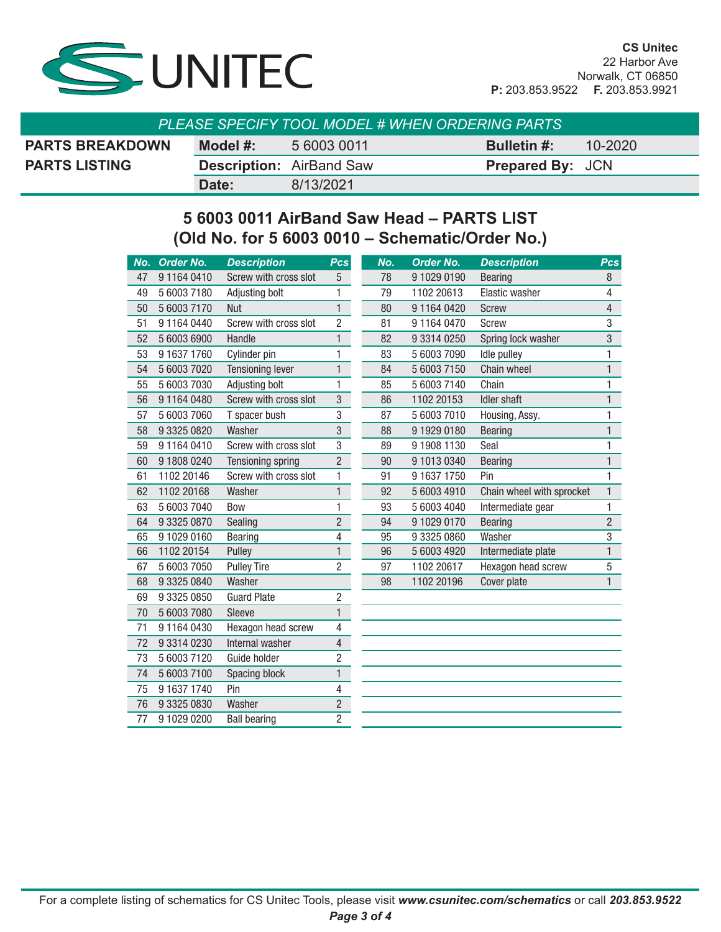

| PLEASE SPECIFY TOOL MODEL # WHEN ORDERING PARTS |          |                                 |                         |         |  |  |
|-------------------------------------------------|----------|---------------------------------|-------------------------|---------|--|--|
| <b>PARTS BREAKDOWN</b>                          | Model #: | 5 6003 0011                     | <b>Bulletin</b> #:      | 10-2020 |  |  |
| <b>PARTS LISTING</b>                            |          | <b>Description: AirBand Saw</b> | <b>Prepared By: JCN</b> |         |  |  |
|                                                 | Date:    | 8/13/2021                       |                         |         |  |  |

## **5 6003 0011 AirBand Saw Head – PARTS LIST (Old No. for 5 6003 0010 – Schematic/Order No.)**

| 78<br>Screw with cross slot<br>9 1029 0190<br>911640410<br>5<br><b>Bearing</b><br>47<br>5 6003 7180<br>79<br>Elastic washer<br>49<br>Adjusting bolt<br>1<br>1102 20613<br>$\mathbf{1}$<br>5 6003 7170<br><b>Nut</b><br>9 1164 0420<br>50<br>80<br><b>Screw</b> | 8<br>4<br>$\overline{4}$<br>3<br>3 |
|----------------------------------------------------------------------------------------------------------------------------------------------------------------------------------------------------------------------------------------------------------------|------------------------------------|
|                                                                                                                                                                                                                                                                |                                    |
|                                                                                                                                                                                                                                                                |                                    |
|                                                                                                                                                                                                                                                                |                                    |
| $\overline{c}$<br>51<br>9 1164 0440<br>Screw with cross slot<br>81<br>9 1164 0470<br>Screw                                                                                                                                                                     |                                    |
| 5 6003 6900<br>Handle<br>1<br>82<br>Spring lock washer<br>52<br>9 3314 0250                                                                                                                                                                                    |                                    |
| Cylinder pin<br>1<br>53<br>9 1637 1760<br>83<br>Idle pulley<br>5 6003 7090                                                                                                                                                                                     | 1                                  |
| 1<br>54<br>5 6003 7020<br><b>Tensioning lever</b><br>84<br>5 6003 7150<br>Chain wheel                                                                                                                                                                          | 1                                  |
| Adjusting bolt<br>85<br>Chain<br>55<br>5 6003 7030<br>1<br>5 6003 7140                                                                                                                                                                                         | 1                                  |
| 3<br>Screw with cross slot<br><b>Idler shaft</b><br>911640480<br>86<br>1102 20153<br>56                                                                                                                                                                        | 1                                  |
| 5 6003 7060<br>3<br>87<br>5 6003 7010<br>57<br>T spacer bush<br>Housing, Assy.                                                                                                                                                                                 | 1                                  |
| 3<br>9 3325 0820<br>Washer<br>88<br>9 1929 0180<br>58<br><b>Bearing</b>                                                                                                                                                                                        | $\mathbf{1}$                       |
| Screw with cross slot<br>3<br>59<br>911640410<br>89<br>9 1908 1130<br>Seal                                                                                                                                                                                     | 1                                  |
| $\overline{2}$<br>Tensioning spring<br>60<br>9 1808 0240<br>90<br>9 1013 0340<br><b>Bearing</b>                                                                                                                                                                | 1                                  |
| Screw with cross slot<br>1<br>91<br>Pin<br>61<br>1102 20146<br>9 1637 1750                                                                                                                                                                                     | 1                                  |
| 62<br>1102 20168<br>Washer<br>1<br>92<br>Chain wheel with sprocket<br>5 6003 4910                                                                                                                                                                              | $\mathbf{1}$                       |
| 1<br>93<br>63<br>5 6003 7040<br><b>Bow</b><br>5 6003 4040<br>Intermediate gear                                                                                                                                                                                 | 1                                  |
| $\overline{c}$<br>9 3325 0870<br>Sealing<br>94<br>9 1029 0170<br>64<br><b>Bearing</b>                                                                                                                                                                          | $\overline{2}$                     |
| 4<br>65<br>9 1029 0160<br>95<br>Washer<br>Bearing<br>9 3325 0860                                                                                                                                                                                               | $\overline{3}$                     |
| 1<br>Pulley<br>96<br>66<br>1102 20154<br>5 6003 4920<br>Intermediate plate                                                                                                                                                                                     | $\mathbf{1}$                       |
| $\overline{c}$<br><b>Pulley Tire</b><br>97<br>67<br>5 6003 7050<br>1102 20617<br>Hexagon head screw                                                                                                                                                            | 5                                  |
| 68<br>9 3325 0840<br>Washer<br>98<br>1102 20196<br>Cover plate                                                                                                                                                                                                 | $\mathbf{1}$                       |
| $\overline{c}$<br>69<br>9 3325 0850<br><b>Guard Plate</b>                                                                                                                                                                                                      |                                    |
| $\mathbf{1}$<br>5 6003 7080<br>Sleeve<br>70                                                                                                                                                                                                                    |                                    |
| 71<br>Hexagon head screw<br>4<br>911640430                                                                                                                                                                                                                     |                                    |
| Internal washer<br>4<br>72<br>9 3314 0230                                                                                                                                                                                                                      |                                    |
| 73<br>5 6003 7120<br>2<br>Guide holder                                                                                                                                                                                                                         |                                    |
| 74<br>5 6003 7100<br>1<br>Spacing block                                                                                                                                                                                                                        |                                    |
| 75<br>9 1637 1740<br>Pin<br>4                                                                                                                                                                                                                                  |                                    |
| Washer<br>$\overline{c}$<br>76<br>9 3325 0830                                                                                                                                                                                                                  |                                    |
| $\overline{c}$<br>77<br>9 1029 0200<br><b>Ball bearing</b>                                                                                                                                                                                                     |                                    |